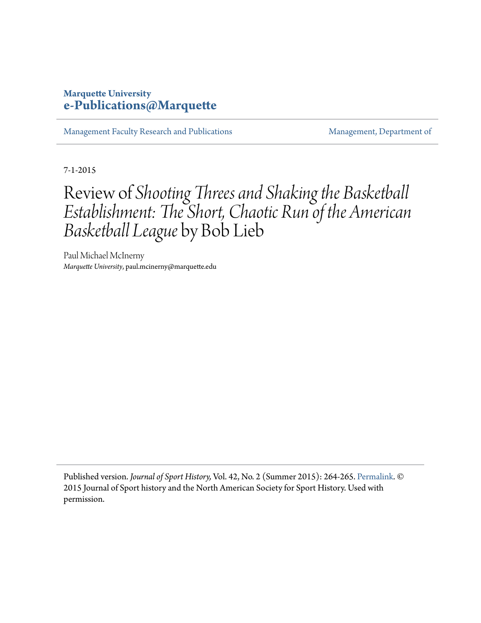## **Marquette University [e-Publications@Marquette](https://epublications.marquette.edu)**

[Management Faculty Research and Publications](https://epublications.marquette.edu/mgmt_fac) [Management, Department of](https://epublications.marquette.edu/mgmt)

7-1-2015

## Review of *Shooting Threes and Shaking the Basketball Establishment: The Short, Chaotic Run of the American Basketball League* by Bob Lieb

Paul Michael McInerny *Marquette University*, paul.mcinerny@marquette.edu

Published version. *Journal of Sport History,* Vol. 42, No. 2 (Summer 2015): 264-265. [Permalink.](http://www.jstor.org/stable/10.5406/jsporthistory.42.2.0264) © 2015 Journal of Sport history and the North American Society for Sport History. Used with permission.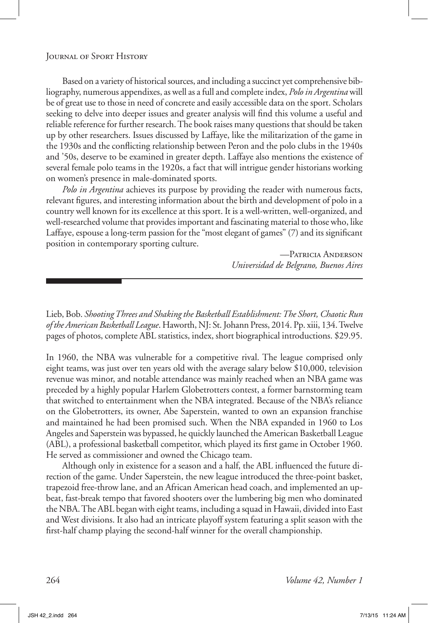Lieb, Bob. *Shooting Threes and Shaking the Basketball Establishment: The Short, Chaotic Run of the American Basketball League*. Haworth, NJ: St. Johann Press, 2014. Pp. xiii, 134. Twelve pages of photos, complete ABL statistics, index, short biographical introductions. \$29.95.

In 1960, the NBA was vulnerable for a competitive rival. The league comprised only eight teams, was just over ten years old with the average salary below \$10,000, television revenue was minor, and notable attendance was mainly reached when an NBA game was preceded by a highly popular Harlem Globetrotters contest, a former barnstorming team that switched to entertainment when the NBA integrated. Because of the NBA's reliance on the Globetrotters, its owner, Abe Saperstein, wanted to own an expansion franchise and maintained he had been promised such. When the NBA expanded in 1960 to Los Angeles and Saperstein was bypassed, he quickly launched the American Basketball League (ABL), a professional basketball competitor, which played its first game in October 1960. He served as commissioner and owned the Chicago team.

Although only in existence for a season and a half, the ABL influenced the future direction of the game. Under Saperstein, the new league introduced the three-point basket, trapezoid free-throw lane, and an African American head coach, and implemented an upbeat, fast-break tempo that favored shooters over the lumbering big men who dominated the NBA. The ABL began with eight teams, including a squad in Hawaii, divided into East and West divisions. It also had an intricate playoff system featuring a split season with the first-half champ playing the second-half winner for the overall championship.